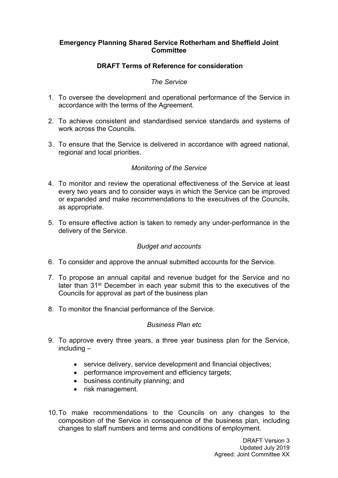#### **Emergency Planning Shared Service Rotherham and Sheffield Joint Committee**

# **DRAFT Terms of Reference for consideration**

#### *The Service*

- 1. To oversee the development and operational performance of the Service in accordance with the terms of the Agreement.
- 2. To achieve consistent and standardised service standards and systems of work across the Councils.
- 3. To ensure that the Service is delivered in accordance with agreed national, regional and local priorities.

### *Monitoring of the Service*

- 4. To monitor and review the operational effectiveness of the Service at least every two years and to consider ways in which the Service can be improved or expanded and make recommendations to the executives of the Councils, as appropriate.
- 5. To ensure effective action is taken to remedy any under-performance in the delivery of the Service.

#### *Budget and accounts*

- 6. To consider and approve the annual submitted accounts for the Service.
- 7. To propose an annual capital and revenue budget for the Service and no later than 31<sup>st</sup> December in each year submit this to the executives of the Councils for approval as part of the business plan
- 8. To monitor the financial performance of the Service.

#### *Business Plan etc*

- 9. To approve every three years, a three year business plan for the Service, including –
	- service delivery, service development and financial objectives;
	- performance improvement and efficiency targets;
	- business continuity planning; and
	- risk management.
- 10.To make recommendations to the Councils on any changes to the composition of the Service in consequence of the business plan, including changes to staff numbers and terms and conditions of employment.

DRAFT Version 3 Updated July 2019 Agreed: Joint Committee XX